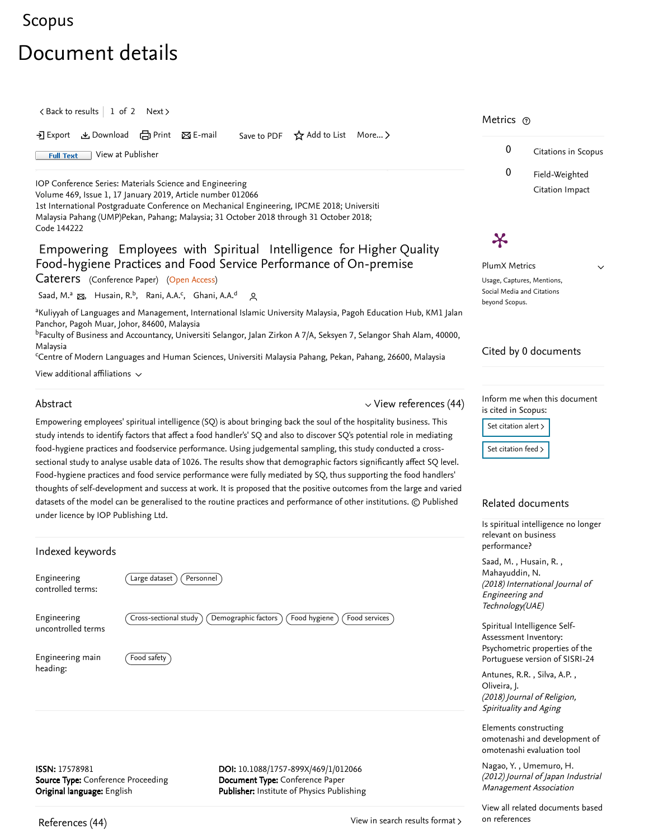# [Scopus](https://www.scopus.com/home.uri?zone=header&origin=searchbasic)

# Document details

 $\langle$  [Back to results](https://www.scopus.com/results/results.uri?sort=plf-f&src=s&st1=Empowering+employees+with+spiritual+intelligence+&st2=&sid=6c5450a54146fd08ff5c36d9f7f08ff0&sot=b&sdt=b&sl=56&s=TITLE%28Empowering+employees+with+spiritual+intelligence+%29&offset=1&origin=recordpage)  $\vert$  1 of 2 [Next](https://www.scopus.com/record/display.uri?origin=recordpage&eid=2-s2.0-85019510534&citeCnt=0&noHighlight=false&sort=plf-f&src=s&st1=Empowering+employees+with+spiritual+intelligence+&st2=&sid=6c5450a54146fd08ff5c36d9f7f08ff0&sot=b&sdt=b&sl=56&s=TITLE%28Empowering+employees+with+spiritual+intelligence+%29&relpos=1) >

 $\Sigma$  Export  $\Sigma$  Download  $\bigoplus$  Print  $\Sigma$  E-mail Save to PDF  $\bigstar$  Add to List More...  $\Sigma$ 

Full Text [View at Publisher](https://www.scopus.com/redirect/linking.uri?targetURL=https%3a%2f%2fdoi.org%2f10.1088%2f1757-899X%2f469%2f1%2f012066&locationID=1&categoryID=4&eid=2-s2.0-85060971671&issn=17578981&linkType=ViewAtPublisher&year=2019&origin=recordpage&dig=bda903f3ad5e646b0b66c08e1bf61bd4&recordRank=)

[IOP Conference Series: Materials Science and Engineering](https://www.scopus.com/sourceid/19700200831?origin=recordpage)

Volume 469, Issue 1, 17 January 2019, Article number 012066

1st International Postgraduate Conference on Mechanical Engineering, IPCME 2018; Universiti Malaysia Pahang (UMP)Pekan, Pahang; Malaysia; 31 October 2018 through 31 October 2018; Code 144222

# Empowering Employees with Spiritual Intelligence for Higher Quality Food-hygiene Practices and Food Service Performance of On-premise

Caterers (Conference Paper) (Open Access)

[Saad, M.](https://www.scopus.com/authid/detail.uri?authorId=55370579000&eid=2-s2.0-85060971671)ª ක, [Husain, R.](https://www.scopus.com/authid/detail.uri?authorId=57188970865&eid=2-s2.0-85060971671)<sup>b</sup>, [Rani, A.A.](https://www.scopus.com/authid/detail.uri?authorId=57205659050&eid=2-s2.0-85060971671)<sup>c</sup>, [Ghani, A.A.](https://www.scopus.com/authid/detail.uri?authorId=57205656240&eid=2-s2.0-85060971671)<sup>d</sup> ପ୍ର

akuliyyah of Languages and Management, International Islamic University Malaysia, Pagoh Education Hub, KM1 Jalan Panchor, Pagoh Muar, Johor, 84600, Malaysia

<sup>b</sup>Faculty of Business and Accountancy, Universiti Selangor, Jalan Zirkon A 7/A, Seksyen 7, Selangor Shah Alam, 40000, Malaysia

<sup>c</sup>Centre of Modern Languages and Human Sciences, Universiti Malaysia Pahang, Pekan, Pahang, 26600, Malaysia

View additional affiliations  $\sim$ 

#### Abstract

 $\vee$  [View references \(44\)](#page-0-0)

Empowering employees' spiritual intelligence (SQ) is about bringing back the soul of the hospitality business. This study intends to identify factors that affect a food handler's' SQ and also to discover SQ's potential role in mediating food-hygiene practices and foodservice performance. Using judgemental sampling, this study conducted a crosssectional study to analyse usable data of 1026. The results show that demographic factors significantly affect SQ level. Food-hygiene practices and food service performance were fully mediated by SQ, thus supporting the food handlers' thoughts of self-development and success at work. It is proposed that the positive outcomes from the large and varied datasets of the model can be generalised to the routine practices and performance of other institutions. © Published under licence by IOP Publishing Ltd.

| Indexed keywords                                                                          |                                                                                                                      |  |  |  |
|-------------------------------------------------------------------------------------------|----------------------------------------------------------------------------------------------------------------------|--|--|--|
| Engineering<br>controlled terms:                                                          | Large dataset)<br>Personnel                                                                                          |  |  |  |
| Engineering<br>uncontrolled terms                                                         | Demographic factors<br>Cross-sectional study<br>Food hygiene<br>Food services                                        |  |  |  |
| Engineering main<br>heading:                                                              | Food safety                                                                                                          |  |  |  |
|                                                                                           |                                                                                                                      |  |  |  |
| ISSN: 17578981<br><b>Source Type:</b> Conference Proceeding<br>Original language: English | DOI: 10.1088/1757-899X/469/1/012066<br>Document Type: Conference Paper<br>Publisher: Institute of Physics Publishing |  |  |  |

## Metrics ල

 $\boldsymbol{\varkappa}$ 



 $\vee$ 

PlumX Metrics Usage, Captures, Mentions, Social Media and Citations beyond Scopus.

## Cited by 0 documents

Inform me when this document is cited in Scopus:

Set citation alert >

[Set citation feed](https://www.scopus.com/results/rss/handler.uri?citeEid=2-s2.0-85060971671)  $\lambda$ 

### Related documents

[Is spiritual intelligence no longer](https://www.scopus.com/record/display.uri?origin=recordpage&zone=relatedDocuments&eid=2-s2.0-85051571260&citeCnt=0&noHighlight=false&sort=plf-f&src=s&st1=Empowering+employees+with+spiritual+intelligence+&st2=&sid=6c5450a54146fd08ff5c36d9f7f08ff0&sot=b&sdt=b&sl=56&s=TITLE%28Empowering+employees+with+spiritual+intelligence+%29&relpos=0) relevant on business performance?

, , [Saad, M.](https://www.scopus.com/authid/detail.uri?origin=recordpage&authorId=55370579000&zone=relatedDocuments) Husain, R. (2018) International Journal of Engineering and Technology(UAE) [Mahayuddin, N.](https://www.scopus.com/authid/detail.uri?origin=recordpage&authorId=57203401280&zone=relatedDocuments)

Spiritual Intelligence Self-Assessment Inventory: Psychometric properties of the [Portuguese version of SISRI-24](https://www.scopus.com/record/display.uri?origin=recordpage&zone=relatedDocuments&eid=2-s2.0-85019558678&citeCnt=0&noHighlight=false&sort=plf-f&src=s&st1=Empowering+employees+with+spiritual+intelligence+&st2=&sid=6c5450a54146fd08ff5c36d9f7f08ff0&sot=b&sdt=b&sl=56&s=TITLE%28Empowering+employees+with+spiritual+intelligence+%29&relpos=1)

Antunes,R.R. , Silva, A.P. , (2018) Journal of Religion, Spirituality and Aging [Oliveira, J.](https://www.scopus.com/authid/detail.uri?origin=recordpage&authorId=35243297300&zone=relatedDocuments)

Elements constructing [omotenashi and development of](https://www.scopus.com/record/display.uri?origin=recordpage&zone=relatedDocuments&eid=2-s2.0-84876917251&citeCnt=0&noHighlight=false&sort=plf-f&src=s&st1=Empowering+employees+with+spiritual+intelligence+&st2=&sid=6c5450a54146fd08ff5c36d9f7f08ff0&sot=b&sdt=b&sl=56&s=TITLE%28Empowering+employees+with+spiritual+intelligence+%29&relpos=2) omotenashi evaluation tool

, [Nagao, Y.](https://www.scopus.com/authid/detail.uri?origin=recordpage&authorId=55669846500&zone=relatedDocuments) [Umemuro, H.](https://www.scopus.com/authid/detail.uri?origin=recordpage&authorId=8617314100&zone=relatedDocuments) (2012) Journal of Japan Industrial Management Association

[View all related documents based](https://www.scopus.com/search/submit/mlt.uri?eid=2-s2.0-85060971671&src=s&all=true&origin=recordpage&method=ref&zone=relatedDocuments) on references

<span id="page-0-0"></span>References (44)

[View in search results format](https://www.scopus.com/search/submit/references.uri?sort=plf-f&src=r&imp=t&sid=f40edbb0df71162d27bd671e269308f5&sot=rec&sdt=citedreferences&sl=23&s=EID%282-s2.0-85060971671%29&origin=recordpage&citeCnt=1&citingId=2-s2.0-85060971671) >